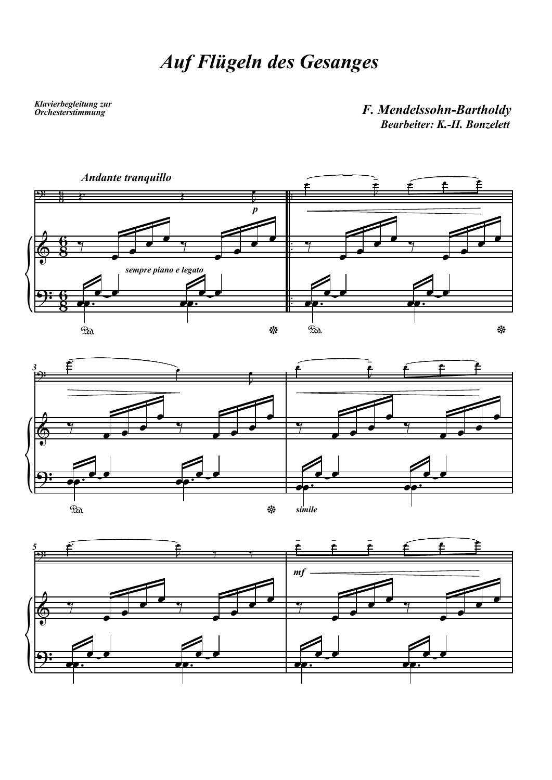## Auf Flügeln des Gesanges

Klavierbegleitung zur **Orchesterstimmung** 

F. Mendelssohn-Bartholdy Bearbeiter: K.-H. Bonzelett





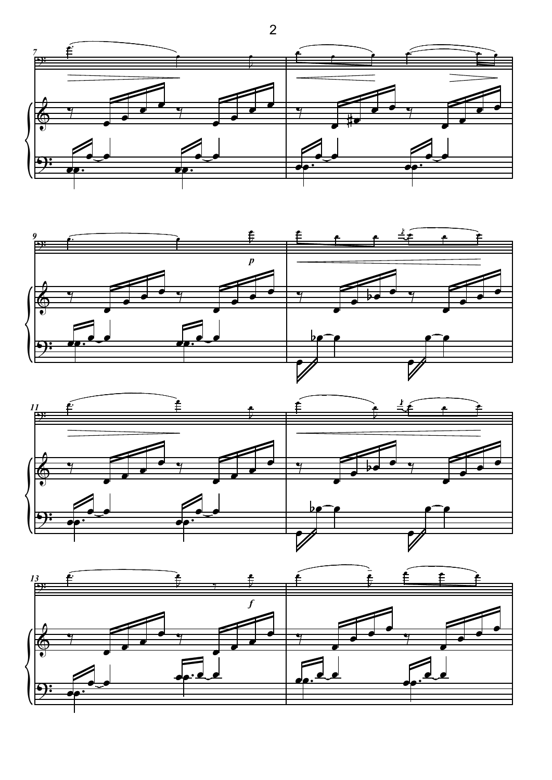







2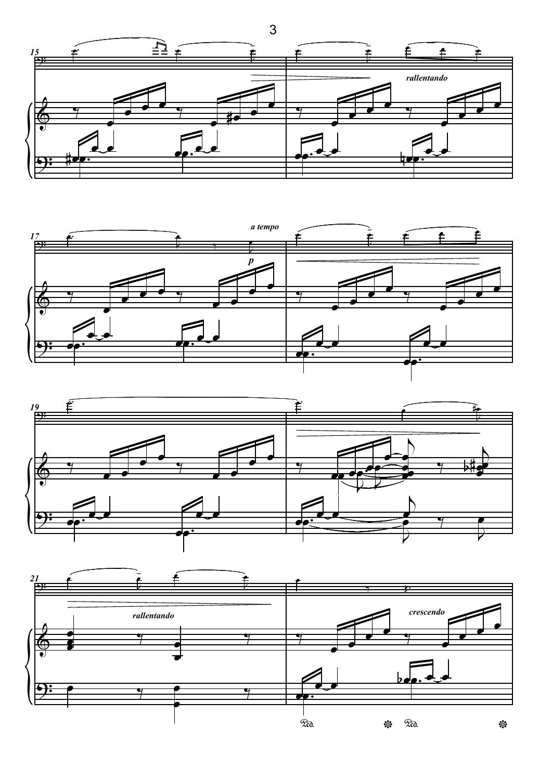







3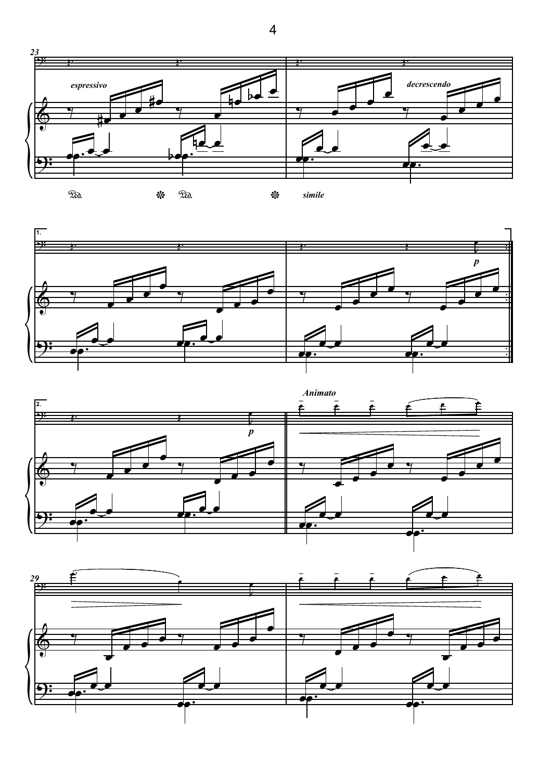





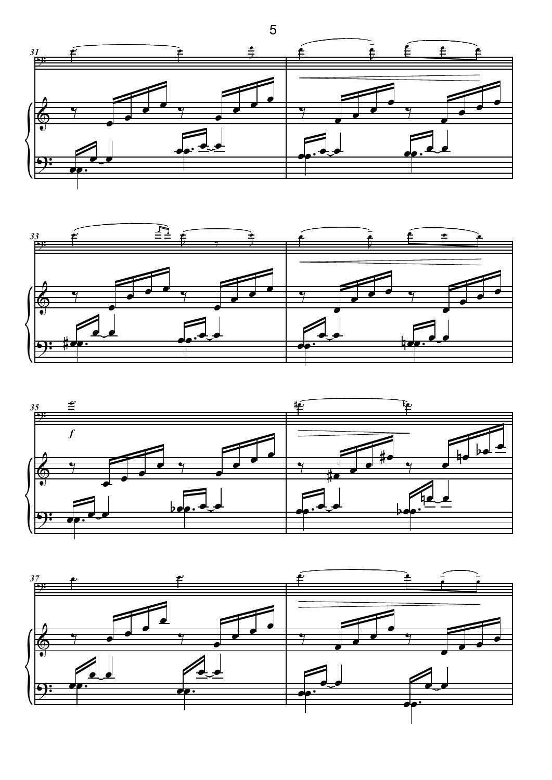







5